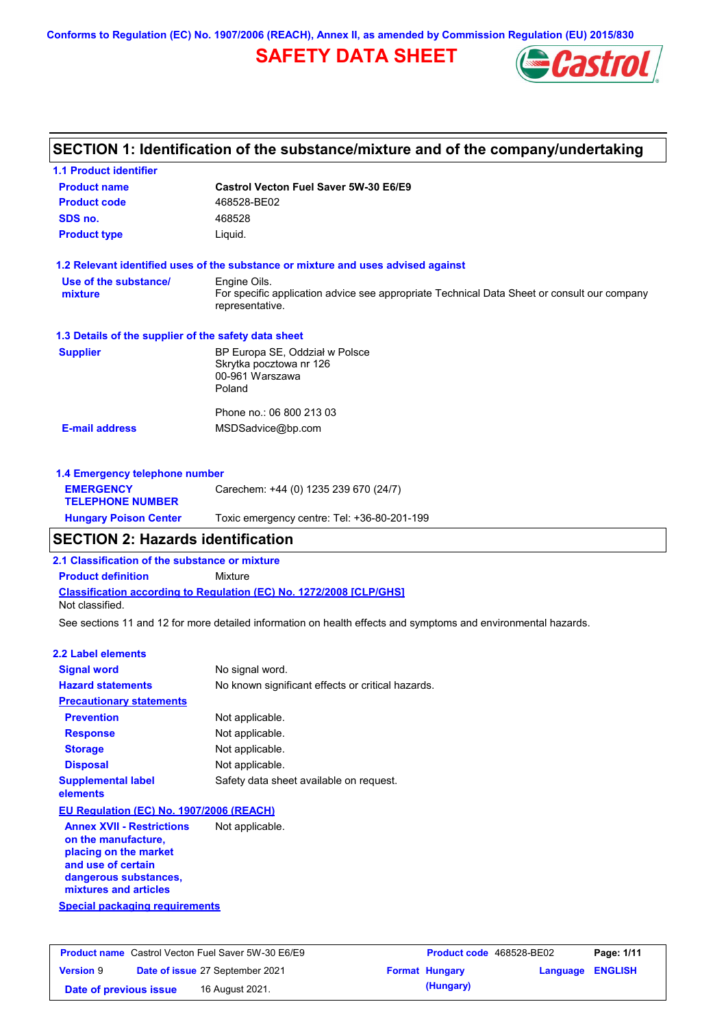**Conforms to Regulation (EC) No. 1907/2006 (REACH), Annex II, as amended by Commission Regulation (EU) 2015/830**

# **SAFETY DATA SHEET**



# **SECTION 1: Identification of the substance/mixture and of the company/undertaking**

| <b>1.1 Product identifier</b>                        |                                                                                                                |
|------------------------------------------------------|----------------------------------------------------------------------------------------------------------------|
| <b>Product name</b>                                  | Castrol Vecton Fuel Saver 5W-30 E6/E9                                                                          |
| <b>Product code</b>                                  | 468528-BE02                                                                                                    |
| SDS no.                                              | 468528                                                                                                         |
| <b>Product type</b>                                  | Liquid.                                                                                                        |
|                                                      | 1.2 Relevant identified uses of the substance or mixture and uses advised against                              |
| Use of the substance/                                | Engine Oils.                                                                                                   |
| mixture                                              | For specific application advice see appropriate Technical Data Sheet or consult our company<br>representative. |
| 1.3 Details of the supplier of the safety data sheet |                                                                                                                |
| <b>Supplier</b>                                      | BP Europa SE, Oddział w Polsce                                                                                 |
|                                                      | Skrytka pocztowa nr 126                                                                                        |
|                                                      | 00-961 Warszawa<br>Poland                                                                                      |
|                                                      |                                                                                                                |
|                                                      | Phone no.: 06 800 213 03                                                                                       |
| <b>E-mail address</b>                                | MSDSadvice@bp.com                                                                                              |
| 1.4 Emergency telephone number                       |                                                                                                                |
| <b>EMERGENCY</b>                                     | Carechem: +44 (0) 1235 239 670 (24/7)                                                                          |
| <b>TELEPHONE NUMBER</b>                              |                                                                                                                |
| <b>Hungary Poison Center</b>                         | Toxic emergency centre: Tel: +36-80-201-199                                                                    |

### **SECTION 2: Hazards identification**

**2.1 Classification of the substance or mixture**

**Product definition** Mixture

**Classification according to Regulation (EC) No. 1272/2008 [CLP/GHS]** Not classified.

See sections 11 and 12 for more detailed information on health effects and symptoms and environmental hazards.

#### **2.2 Label elements**

| <b>Signal word</b>                       | No signal word.                                   |
|------------------------------------------|---------------------------------------------------|
| <b>Hazard statements</b>                 | No known significant effects or critical hazards. |
| <b>Precautionary statements</b>          |                                                   |
| <b>Prevention</b>                        | Not applicable.                                   |
| <b>Response</b>                          | Not applicable.                                   |
| <b>Storage</b>                           | Not applicable.                                   |
| <b>Disposal</b>                          | Not applicable.                                   |
| <b>Supplemental label</b><br>elements    | Safety data sheet available on request.           |
| EU Regulation (EC) No. 1907/2006 (REACH) |                                                   |

**Annex XVII - Restrictions on the manufacture, placing on the market and use of certain dangerous substances, mixtures and articles** Not applicable.

**Special packaging requirements**

| <b>Product name</b> Castrol Vecton Fuel Saver 5W-30 E6/E9 |  | <b>Product code</b> 468528-BE02 |  | Page: 1/11            |                         |  |
|-----------------------------------------------------------|--|---------------------------------|--|-----------------------|-------------------------|--|
| <b>Version 9</b>                                          |  | Date of issue 27 September 2021 |  | <b>Format Hungary</b> | <b>Language ENGLISH</b> |  |
| Date of previous issue                                    |  | 16 August 2021.                 |  | (Hungary)             |                         |  |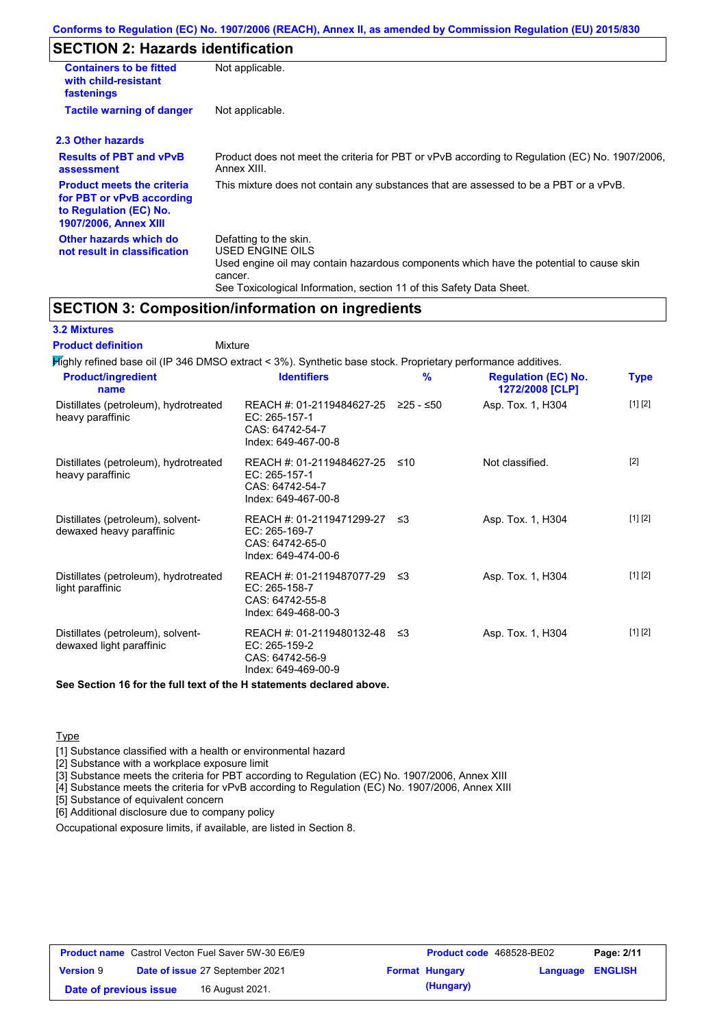# **SECTION 2: Hazards identification**

| <b>Containers to be fitted</b><br>with child-resistant<br>fastenings                                                     | Not applicable.                                                                                                                                                                                                          |
|--------------------------------------------------------------------------------------------------------------------------|--------------------------------------------------------------------------------------------------------------------------------------------------------------------------------------------------------------------------|
| <b>Tactile warning of danger</b>                                                                                         | Not applicable.                                                                                                                                                                                                          |
| 2.3 Other hazards                                                                                                        |                                                                                                                                                                                                                          |
| <b>Results of PBT and vPvB</b><br>assessment                                                                             | Product does not meet the criteria for PBT or vPvB according to Regulation (EC) No. 1907/2006,<br>Annex XIII.                                                                                                            |
| <b>Product meets the criteria</b><br>for PBT or vPvB according<br>to Regulation (EC) No.<br><b>1907/2006, Annex XIII</b> | This mixture does not contain any substances that are assessed to be a PBT or a vPvB.                                                                                                                                    |
| Other hazards which do<br>not result in classification                                                                   | Defatting to the skin.<br>USED ENGINE OILS<br>Used engine oil may contain hazardous components which have the potential to cause skin<br>cancer.<br>See Toxicological Information, section 11 of this Safety Data Sheet. |

### **SECTION 3: Composition/information on ingredients**

### **3.2 Mixtures**

Mixture **Product definition**

Highly refined base oil (IP 346 DMSO extract < 3%). Synthetic base stock. Proprietary performance additives. Distillates (petroleum), hydrotreated heavy paraffinic REACH #: 01-2119484627-25 ≥25 - ≤50 EC: 265-157-1 Asp. Tox. 1, H304 [1] [2] **Product/ingredient name % Regulation (EC) No. Identifiers Type 1272/2008 [CLP]**

|                                                               | CAS: 64742-54-7<br>Index: 649-467-00-8                                                 |      |                   |         |
|---------------------------------------------------------------|----------------------------------------------------------------------------------------|------|-------------------|---------|
| Distillates (petroleum), hydrotreated<br>heavy paraffinic     | REACH #: 01-2119484627-25<br>EC: 265-157-1<br>CAS: 64742-54-7<br>Index: 649-467-00-8   | ≤10  | Not classified.   | $[2]$   |
| Distillates (petroleum), solvent-<br>dewaxed heavy paraffinic | REACH #: 01-2119471299-27<br>EC: 265-169-7<br>CAS: 64742-65-0<br>Index: 649-474-00-6   | -≤3  | Asp. Tox. 1, H304 | [1] [2] |
| Distillates (petroleum), hydrotreated<br>light paraffinic     | REACH #: 01-2119487077-29<br>$EC: 265-158-7$<br>CAS: 64742-55-8<br>Index: 649-468-00-3 | ึ ≤3 | Asp. Tox. 1, H304 | [1] [2] |
| Distillates (petroleum), solvent-<br>dewaxed light paraffinic | REACH #: 01-2119480132-48<br>EC: 265-159-2<br>CAS: 64742-56-9<br>Index: 649-469-00-9   | ב≥   | Asp. Tox. 1, H304 | [1] [2] |

**See Section 16 for the full text of the H statements declared above.**

### **Type**

[1] Substance classified with a health or environmental hazard

[2] Substance with a workplace exposure limit

[3] Substance meets the criteria for PBT according to Regulation (EC) No. 1907/2006, Annex XIII

[4] Substance meets the criteria for vPvB according to Regulation (EC) No. 1907/2006, Annex XIII

[5] Substance of equivalent concern

[6] Additional disclosure due to company policy

Occupational exposure limits, if available, are listed in Section 8.

| <b>Product name</b> Castrol Vecton Fuel Saver 5W-30 E6/E9 |  | <b>Product code</b> 468528-BE02        |                       | Page: 2/11              |  |
|-----------------------------------------------------------|--|----------------------------------------|-----------------------|-------------------------|--|
| <b>Version 9</b>                                          |  | <b>Date of issue 27 September 2021</b> | <b>Format Hungary</b> | <b>Language ENGLISH</b> |  |
| Date of previous issue                                    |  | 16 August 2021.                        | (Hungary)             |                         |  |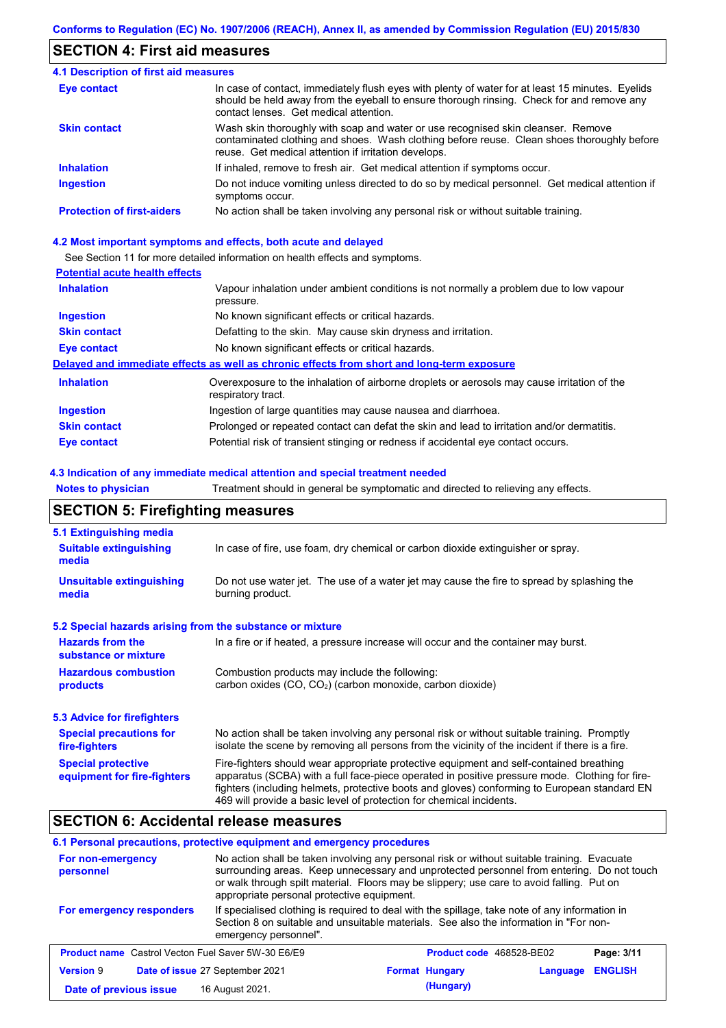## **SECTION 4: First aid measures**

#### Do not induce vomiting unless directed to do so by medical personnel. Get medical attention if symptoms occur. In case of contact, immediately flush eyes with plenty of water for at least 15 minutes. Eyelids should be held away from the eyeball to ensure thorough rinsing. Check for and remove any contact lenses. Get medical attention. **4.1 Description of first aid measures** If inhaled, remove to fresh air. Get medical attention if symptoms occur. **Ingestion Inhalation Eye contact Protection of first-aiders** No action shall be taken involving any personal risk or without suitable training. **Skin contact** Wash skin thoroughly with soap and water or use recognised skin cleanser. Remove contaminated clothing and shoes. Wash clothing before reuse. Clean shoes thoroughly before reuse. Get medical attention if irritation develops.

### **4.2 Most important symptoms and effects, both acute and delayed**

See Section 11 for more detailed information on health effects and symptoms.

### **Potential acute health effects**

| <b>Inhalation</b>   | Vapour inhalation under ambient conditions is not normally a problem due to low vapour                            |
|---------------------|-------------------------------------------------------------------------------------------------------------------|
|                     | pressure.                                                                                                         |
| <b>Ingestion</b>    | No known significant effects or critical hazards.                                                                 |
| <b>Skin contact</b> | Defatting to the skin. May cause skin dryness and irritation.                                                     |
| Eye contact         | No known significant effects or critical hazards.                                                                 |
|                     | Delayed and immediate effects as well as chronic effects from short and long-term exposure                        |
| <b>Inhalation</b>   | Overexposure to the inhalation of airborne droplets or aerosols may cause irritation of the<br>respiratory tract. |
| <b>Ingestion</b>    | Ingestion of large quantities may cause nausea and diarrhoea.                                                     |
| <b>Skin contact</b> | Prolonged or repeated contact can defat the skin and lead to irritation and/or dermatitis.                        |
| Eye contact         | Potential risk of transient stinging or redness if accidental eye contact occurs.                                 |

### **4.3 Indication of any immediate medical attention and special treatment needed**

**Notes to physician** Treatment should in general be symptomatic and directed to relieving any effects.

### **SECTION 5: Firefighting measures**

| 5.1 Extinguishing media                                   |                                                                                                                                                                                                                                                                                                                                                                   |
|-----------------------------------------------------------|-------------------------------------------------------------------------------------------------------------------------------------------------------------------------------------------------------------------------------------------------------------------------------------------------------------------------------------------------------------------|
| <b>Suitable extinguishing</b><br>media                    | In case of fire, use foam, dry chemical or carbon dioxide extinguisher or spray.                                                                                                                                                                                                                                                                                  |
| <b>Unsuitable extinguishing</b><br>media                  | Do not use water jet. The use of a water jet may cause the fire to spread by splashing the<br>burning product.                                                                                                                                                                                                                                                    |
| 5.2 Special hazards arising from the substance or mixture |                                                                                                                                                                                                                                                                                                                                                                   |
| <b>Hazards from the</b><br>substance or mixture           | In a fire or if heated, a pressure increase will occur and the container may burst.                                                                                                                                                                                                                                                                               |
| <b>Hazardous combustion</b><br>products                   | Combustion products may include the following:<br>carbon oxides $(CO, CO2)$ (carbon monoxide, carbon dioxide)                                                                                                                                                                                                                                                     |
| 5.3 Advice for firefighters                               |                                                                                                                                                                                                                                                                                                                                                                   |
| <b>Special precautions for</b><br>fire-fighters           | No action shall be taken involving any personal risk or without suitable training. Promptly<br>isolate the scene by removing all persons from the vicinity of the incident if there is a fire.                                                                                                                                                                    |
| <b>Special protective</b><br>equipment for fire-fighters  | Fire-fighters should wear appropriate protective equipment and self-contained breathing<br>apparatus (SCBA) with a full face-piece operated in positive pressure mode. Clothing for fire-<br>fighters (including helmets, protective boots and gloves) conforming to European standard EN<br>469 will provide a basic level of protection for chemical incidents. |

### **SECTION 6: Accidental release measures**

### **6.1 Personal precautions, protective equipment and emergency procedures**

| For non-emergency<br>personnel                            | No action shall be taken involving any personal risk or without suitable training. Evacuate<br>surrounding areas. Keep unnecessary and unprotected personnel from entering. Do not touch<br>or walk through spilt material. Floors may be slippery; use care to avoid falling. Put on<br>appropriate personal protective equipment. |                          |          |                |
|-----------------------------------------------------------|-------------------------------------------------------------------------------------------------------------------------------------------------------------------------------------------------------------------------------------------------------------------------------------------------------------------------------------|--------------------------|----------|----------------|
| For emergency responders                                  | If specialised clothing is required to deal with the spillage, take note of any information in<br>Section 8 on suitable and unsuitable materials. See also the information in "For non-<br>emergency personnel".                                                                                                                    |                          |          |                |
| <b>Product name</b> Castrol Vecton Fuel Saver 5W-30 E6/E9 |                                                                                                                                                                                                                                                                                                                                     | Product code 468528-BE02 |          | Page: 3/11     |
| <b>Version 9</b>                                          | Date of issue 27 September 2021                                                                                                                                                                                                                                                                                                     | <b>Format Hungary</b>    | Language | <b>ENGLISH</b> |
| Date of previous issue                                    | 16 August 2021.                                                                                                                                                                                                                                                                                                                     | (Hungary)                |          |                |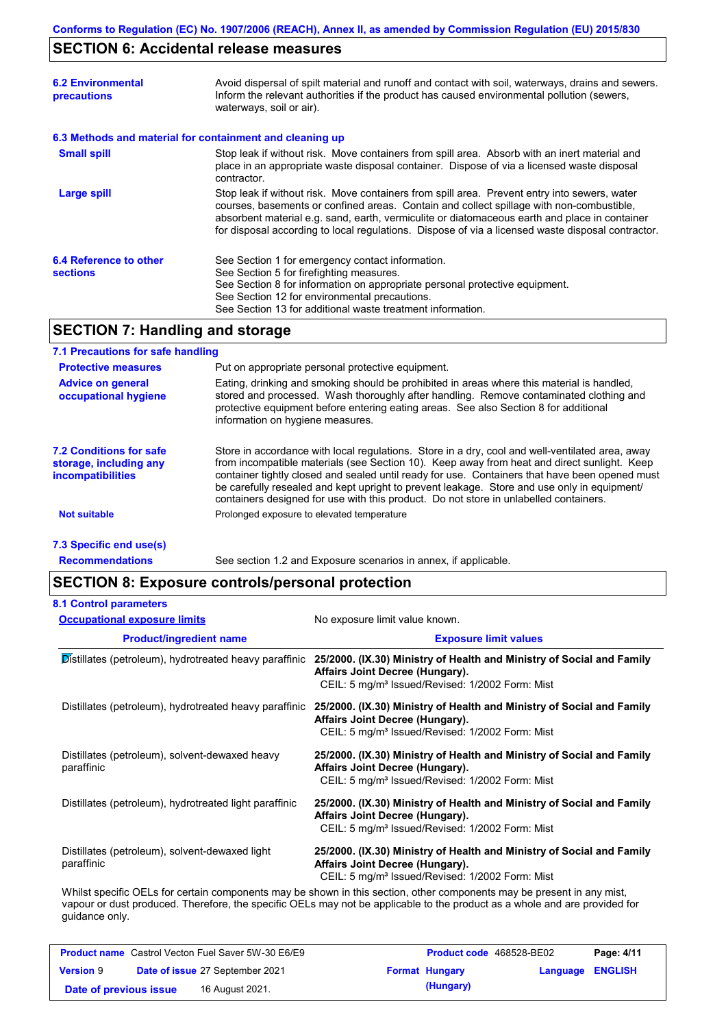# **SECTION 6: Accidental release measures**

| <b>6.2 Environmental</b><br>precautions                  | Avoid dispersal of spilt material and runoff and contact with soil, waterways, drains and sewers.<br>Inform the relevant authorities if the product has caused environmental pollution (sewers,<br>waterways, soil or air).                                                                                                                                                                    |
|----------------------------------------------------------|------------------------------------------------------------------------------------------------------------------------------------------------------------------------------------------------------------------------------------------------------------------------------------------------------------------------------------------------------------------------------------------------|
| 6.3 Methods and material for containment and cleaning up |                                                                                                                                                                                                                                                                                                                                                                                                |
| <b>Small spill</b>                                       | Stop leak if without risk. Move containers from spill area. Absorb with an inert material and<br>place in an appropriate waste disposal container. Dispose of via a licensed waste disposal<br>contractor.                                                                                                                                                                                     |
| Large spill                                              | Stop leak if without risk. Move containers from spill area. Prevent entry into sewers, water<br>courses, basements or confined areas. Contain and collect spillage with non-combustible,<br>absorbent material e.g. sand, earth, vermiculite or diatomaceous earth and place in container<br>for disposal according to local regulations. Dispose of via a licensed waste disposal contractor. |
| 6.4 Reference to other<br><b>sections</b>                | See Section 1 for emergency contact information.<br>See Section 5 for firefighting measures.<br>See Section 8 for information on appropriate personal protective equipment.<br>See Section 12 for environmental precautions.<br>See Section 13 for additional waste treatment information.                                                                                                     |

# **SECTION 7: Handling and storage**

### **7.1 Precautions for safe handling**

| <b>Protective measures</b>                                                           | Put on appropriate personal protective equipment.                                                                                                                                                                                                                                                                                                                                                                                                                                        |
|--------------------------------------------------------------------------------------|------------------------------------------------------------------------------------------------------------------------------------------------------------------------------------------------------------------------------------------------------------------------------------------------------------------------------------------------------------------------------------------------------------------------------------------------------------------------------------------|
| <b>Advice on general</b><br>occupational hygiene                                     | Eating, drinking and smoking should be prohibited in areas where this material is handled,<br>stored and processed. Wash thoroughly after handling. Remove contaminated clothing and<br>protective equipment before entering eating areas. See also Section 8 for additional<br>information on hygiene measures.                                                                                                                                                                         |
| <b>7.2 Conditions for safe</b><br>storage, including any<br><i>incompatibilities</i> | Store in accordance with local regulations. Store in a dry, cool and well-ventilated area, away<br>from incompatible materials (see Section 10). Keep away from heat and direct sunlight. Keep<br>container tightly closed and sealed until ready for use. Containers that have been opened must<br>be carefully resealed and kept upright to prevent leakage. Store and use only in equipment/<br>containers designed for use with this product. Do not store in unlabelled containers. |
| Not suitable                                                                         | Prolonged exposure to elevated temperature                                                                                                                                                                                                                                                                                                                                                                                                                                               |
|                                                                                      |                                                                                                                                                                                                                                                                                                                                                                                                                                                                                          |

### **7.3 Specific end use(s)**

**Recommendations**

See section 1.2 and Exposure scenarios in annex, if applicable.

# **SECTION 8: Exposure controls/personal protection**

| <b>8.1 Control parameters</b>                                |                                                                                                                                                                                                                                                      |
|--------------------------------------------------------------|------------------------------------------------------------------------------------------------------------------------------------------------------------------------------------------------------------------------------------------------------|
| <b>Occupational exposure limits</b>                          | No exposure limit value known.                                                                                                                                                                                                                       |
| <b>Product/ingredient name</b>                               | <b>Exposure limit values</b>                                                                                                                                                                                                                         |
| Distillates (petroleum), hydrotreated heavy paraffinic       | 25/2000. (IX.30) Ministry of Health and Ministry of Social and Family<br>Affairs Joint Decree (Hungary).<br>CEIL: 5 mg/m <sup>3</sup> Issued/Revised: 1/2002 Form: Mist                                                                              |
| Distillates (petroleum), hydrotreated heavy paraffinic       | 25/2000. (IX.30) Ministry of Health and Ministry of Social and Family<br>Affairs Joint Decree (Hungary).<br>CEIL: 5 mg/m <sup>3</sup> Issued/Revised: 1/2002 Form: Mist                                                                              |
| Distillates (petroleum), solvent-dewaxed heavy<br>paraffinic | 25/2000. (IX.30) Ministry of Health and Ministry of Social and Family<br>Affairs Joint Decree (Hungary).<br>CEIL: 5 mg/m <sup>3</sup> Issued/Revised: 1/2002 Form: Mist                                                                              |
| Distillates (petroleum), hydrotreated light paraffinic       | 25/2000. (IX.30) Ministry of Health and Ministry of Social and Family<br>Affairs Joint Decree (Hungary).<br>CEIL: 5 mg/m <sup>3</sup> Issued/Revised: 1/2002 Form: Mist                                                                              |
| Distillates (petroleum), solvent-dewaxed light<br>paraffinic | 25/2000. (IX.30) Ministry of Health and Ministry of Social and Family<br>Affairs Joint Decree (Hungary).<br>CEIL: 5 mg/m <sup>3</sup> Issued/Revised: 1/2002 Form: Mist                                                                              |
| guidance only.                                               | Whilst specific OELs for certain components may be shown in this section, other components may be present in any mist,<br>vapour or dust produced. Therefore, the specific OELs may not be applicable to the product as a whole and are provided for |

|                        | <b>Product name</b> Castrol Vecton Fuel Saver 5W-30 E6/E9 | Product code 468528-BE02 |                  | Page: 4/11 |
|------------------------|-----------------------------------------------------------|--------------------------|------------------|------------|
| <b>Version 9</b>       | Date of issue 27 September 2021                           | <b>Format Hungary</b>    | Language ENGLISH |            |
| Date of previous issue | 16 August 2021.                                           | (Hungary)                |                  |            |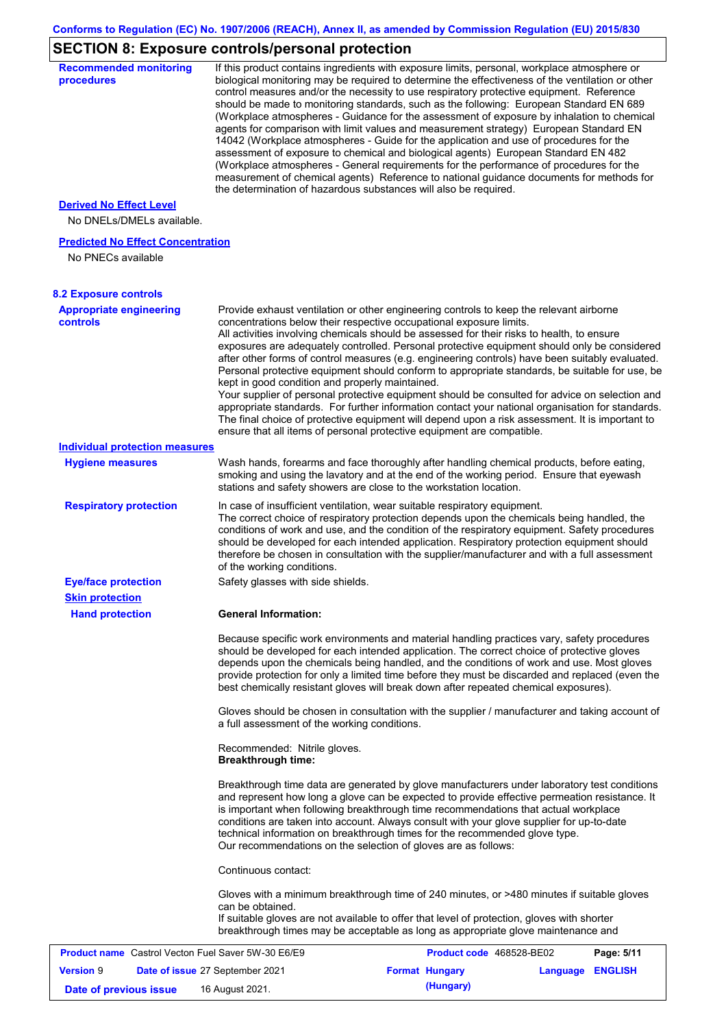# **SECTION 8: Exposure controls/personal protection**

| <b>Recommended monitoring</b><br>procedures                    |                                                    | If this product contains ingredients with exposure limits, personal, workplace atmosphere or<br>biological monitoring may be required to determine the effectiveness of the ventilation or other<br>control measures and/or the necessity to use respiratory protective equipment. Reference<br>should be made to monitoring standards, such as the following: European Standard EN 689<br>(Workplace atmospheres - Guidance for the assessment of exposure by inhalation to chemical<br>agents for comparison with limit values and measurement strategy) European Standard EN<br>14042 (Workplace atmospheres - Guide for the application and use of procedures for the<br>assessment of exposure to chemical and biological agents) European Standard EN 482<br>(Workplace atmospheres - General requirements for the performance of procedures for the<br>measurement of chemical agents) Reference to national guidance documents for methods for<br>the determination of hazardous substances will also be required. |                  |            |
|----------------------------------------------------------------|----------------------------------------------------|----------------------------------------------------------------------------------------------------------------------------------------------------------------------------------------------------------------------------------------------------------------------------------------------------------------------------------------------------------------------------------------------------------------------------------------------------------------------------------------------------------------------------------------------------------------------------------------------------------------------------------------------------------------------------------------------------------------------------------------------------------------------------------------------------------------------------------------------------------------------------------------------------------------------------------------------------------------------------------------------------------------------------|------------------|------------|
| <b>Derived No Effect Level</b><br>No DNELs/DMELs available.    |                                                    |                                                                                                                                                                                                                                                                                                                                                                                                                                                                                                                                                                                                                                                                                                                                                                                                                                                                                                                                                                                                                            |                  |            |
| <b>Predicted No Effect Concentration</b><br>No PNECs available |                                                    |                                                                                                                                                                                                                                                                                                                                                                                                                                                                                                                                                                                                                                                                                                                                                                                                                                                                                                                                                                                                                            |                  |            |
| <b>8.2 Exposure controls</b>                                   |                                                    |                                                                                                                                                                                                                                                                                                                                                                                                                                                                                                                                                                                                                                                                                                                                                                                                                                                                                                                                                                                                                            |                  |            |
| <b>Appropriate engineering</b><br><b>controls</b>              | kept in good condition and properly maintained.    | Provide exhaust ventilation or other engineering controls to keep the relevant airborne<br>concentrations below their respective occupational exposure limits.<br>All activities involving chemicals should be assessed for their risks to health, to ensure<br>exposures are adequately controlled. Personal protective equipment should only be considered<br>after other forms of control measures (e.g. engineering controls) have been suitably evaluated.<br>Personal protective equipment should conform to appropriate standards, be suitable for use, be<br>Your supplier of personal protective equipment should be consulted for advice on selection and<br>appropriate standards. For further information contact your national organisation for standards.<br>The final choice of protective equipment will depend upon a risk assessment. It is important to<br>ensure that all items of personal protective equipment are compatible.                                                                       |                  |            |
| <b>Individual protection measures</b>                          |                                                    |                                                                                                                                                                                                                                                                                                                                                                                                                                                                                                                                                                                                                                                                                                                                                                                                                                                                                                                                                                                                                            |                  |            |
| <b>Hygiene measures</b>                                        |                                                    | Wash hands, forearms and face thoroughly after handling chemical products, before eating,<br>smoking and using the lavatory and at the end of the working period. Ensure that eyewash<br>stations and safety showers are close to the workstation location.                                                                                                                                                                                                                                                                                                                                                                                                                                                                                                                                                                                                                                                                                                                                                                |                  |            |
| <b>Respiratory protection</b>                                  | of the working conditions.                         | In case of insufficient ventilation, wear suitable respiratory equipment.<br>The correct choice of respiratory protection depends upon the chemicals being handled, the<br>conditions of work and use, and the condition of the respiratory equipment. Safety procedures<br>should be developed for each intended application. Respiratory protection equipment should<br>therefore be chosen in consultation with the supplier/manufacturer and with a full assessment                                                                                                                                                                                                                                                                                                                                                                                                                                                                                                                                                    |                  |            |
| <b>Eye/face protection</b><br><b>Skin protection</b>           | Safety glasses with side shields.                  |                                                                                                                                                                                                                                                                                                                                                                                                                                                                                                                                                                                                                                                                                                                                                                                                                                                                                                                                                                                                                            |                  |            |
| <b>Hand protection</b>                                         | <b>General Information:</b>                        |                                                                                                                                                                                                                                                                                                                                                                                                                                                                                                                                                                                                                                                                                                                                                                                                                                                                                                                                                                                                                            |                  |            |
|                                                                |                                                    | Because specific work environments and material handling practices vary, safety procedures<br>should be developed for each intended application. The correct choice of protective gloves<br>depends upon the chemicals being handled, and the conditions of work and use. Most gloves<br>provide protection for only a limited time before they must be discarded and replaced (even the<br>best chemically resistant gloves will break down after repeated chemical exposures).                                                                                                                                                                                                                                                                                                                                                                                                                                                                                                                                           |                  |            |
|                                                                | a full assessment of the working conditions.       | Gloves should be chosen in consultation with the supplier / manufacturer and taking account of                                                                                                                                                                                                                                                                                                                                                                                                                                                                                                                                                                                                                                                                                                                                                                                                                                                                                                                             |                  |            |
|                                                                | Recommended: Nitrile gloves.<br>Breakthrough time: |                                                                                                                                                                                                                                                                                                                                                                                                                                                                                                                                                                                                                                                                                                                                                                                                                                                                                                                                                                                                                            |                  |            |
|                                                                |                                                    | Breakthrough time data are generated by glove manufacturers under laboratory test conditions<br>and represent how long a glove can be expected to provide effective permeation resistance. It<br>is important when following breakthrough time recommendations that actual workplace<br>conditions are taken into account. Always consult with your glove supplier for up-to-date<br>technical information on breakthrough times for the recommended glove type.<br>Our recommendations on the selection of gloves are as follows:                                                                                                                                                                                                                                                                                                                                                                                                                                                                                         |                  |            |
|                                                                | Continuous contact:                                |                                                                                                                                                                                                                                                                                                                                                                                                                                                                                                                                                                                                                                                                                                                                                                                                                                                                                                                                                                                                                            |                  |            |
|                                                                | can be obtained.                                   | Gloves with a minimum breakthrough time of 240 minutes, or >480 minutes if suitable gloves<br>If suitable gloves are not available to offer that level of protection, gloves with shorter<br>breakthrough times may be acceptable as long as appropriate glove maintenance and                                                                                                                                                                                                                                                                                                                                                                                                                                                                                                                                                                                                                                                                                                                                             |                  |            |
| Product name Castrol Vecton Fuel Saver 5W-30 E6/E9             |                                                    | Product code 468528-BE02                                                                                                                                                                                                                                                                                                                                                                                                                                                                                                                                                                                                                                                                                                                                                                                                                                                                                                                                                                                                   |                  | Page: 5/11 |
| <b>Version 9</b>                                               | Date of issue 27 September 2021                    | <b>Format Hungary</b>                                                                                                                                                                                                                                                                                                                                                                                                                                                                                                                                                                                                                                                                                                                                                                                                                                                                                                                                                                                                      | Language ENGLISH |            |
| Date of previous issue                                         | 16 August 2021.                                    | (Hungary)                                                                                                                                                                                                                                                                                                                                                                                                                                                                                                                                                                                                                                                                                                                                                                                                                                                                                                                                                                                                                  |                  |            |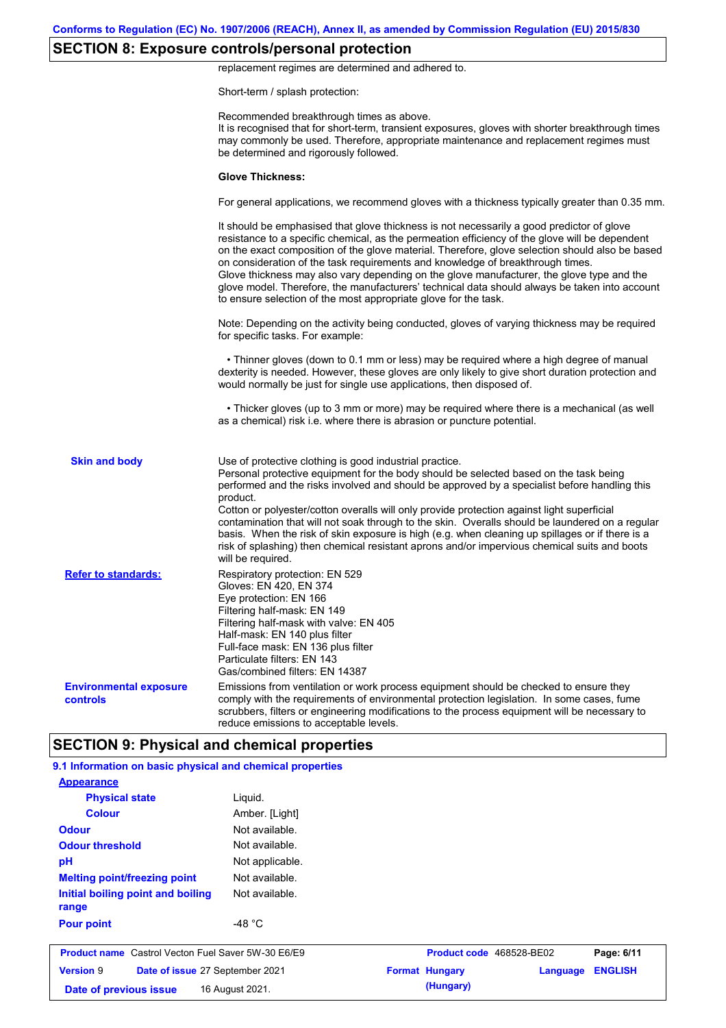# **SECTION 8: Exposure controls/personal protection**

replacement regimes are determined and adhered to.

Short-term / splash protection:

|                                           | Recommended breakthrough times as above.<br>It is recognised that for short-term, transient exposures, gloves with shorter breakthrough times<br>may commonly be used. Therefore, appropriate maintenance and replacement regimes must<br>be determined and rigorously followed.                                                                                                                                                                                                                                                                                                                                                                                                      |
|-------------------------------------------|---------------------------------------------------------------------------------------------------------------------------------------------------------------------------------------------------------------------------------------------------------------------------------------------------------------------------------------------------------------------------------------------------------------------------------------------------------------------------------------------------------------------------------------------------------------------------------------------------------------------------------------------------------------------------------------|
|                                           | <b>Glove Thickness:</b>                                                                                                                                                                                                                                                                                                                                                                                                                                                                                                                                                                                                                                                               |
|                                           | For general applications, we recommend gloves with a thickness typically greater than 0.35 mm.                                                                                                                                                                                                                                                                                                                                                                                                                                                                                                                                                                                        |
|                                           | It should be emphasised that glove thickness is not necessarily a good predictor of glove<br>resistance to a specific chemical, as the permeation efficiency of the glove will be dependent<br>on the exact composition of the glove material. Therefore, glove selection should also be based<br>on consideration of the task requirements and knowledge of breakthrough times.<br>Glove thickness may also vary depending on the glove manufacturer, the glove type and the<br>glove model. Therefore, the manufacturers' technical data should always be taken into account<br>to ensure selection of the most appropriate glove for the task.                                     |
|                                           | Note: Depending on the activity being conducted, gloves of varying thickness may be required<br>for specific tasks. For example:                                                                                                                                                                                                                                                                                                                                                                                                                                                                                                                                                      |
|                                           | • Thinner gloves (down to 0.1 mm or less) may be required where a high degree of manual<br>dexterity is needed. However, these gloves are only likely to give short duration protection and<br>would normally be just for single use applications, then disposed of.                                                                                                                                                                                                                                                                                                                                                                                                                  |
|                                           | • Thicker gloves (up to 3 mm or more) may be required where there is a mechanical (as well<br>as a chemical) risk i.e. where there is abrasion or puncture potential.                                                                                                                                                                                                                                                                                                                                                                                                                                                                                                                 |
| <b>Skin and body</b>                      | Use of protective clothing is good industrial practice.<br>Personal protective equipment for the body should be selected based on the task being<br>performed and the risks involved and should be approved by a specialist before handling this<br>product.<br>Cotton or polyester/cotton overalls will only provide protection against light superficial<br>contamination that will not soak through to the skin. Overalls should be laundered on a regular<br>basis. When the risk of skin exposure is high (e.g. when cleaning up spillages or if there is a<br>risk of splashing) then chemical resistant aprons and/or impervious chemical suits and boots<br>will be required. |
| <b>Refer to standards:</b>                | Respiratory protection: EN 529<br>Gloves: EN 420, EN 374<br>Eye protection: EN 166<br>Filtering half-mask: EN 149<br>Filtering half-mask with valve: EN 405<br>Half-mask: EN 140 plus filter<br>Full-face mask: EN 136 plus filter<br>Particulate filters: EN 143<br>Gas/combined filters: EN 14387                                                                                                                                                                                                                                                                                                                                                                                   |
| <b>Environmental exposure</b><br>controls | Emissions from ventilation or work process equipment should be checked to ensure they<br>comply with the requirements of environmental protection legislation. In some cases, fume<br>scrubbers, filters or engineering modifications to the process equipment will be necessary to<br>reduce emissions to acceptable levels.                                                                                                                                                                                                                                                                                                                                                         |
|                                           | <b>SECTION 9: Physical and chemical properties</b>                                                                                                                                                                                                                                                                                                                                                                                                                                                                                                                                                                                                                                    |

| <b>Appearance</b>                                         |                  |                       |                          |                |
|-----------------------------------------------------------|------------------|-----------------------|--------------------------|----------------|
| <b>Physical state</b>                                     | Liguid.          |                       |                          |                |
| <b>Colour</b>                                             | Amber. [Light]   |                       |                          |                |
| <b>Odour</b>                                              | Not available.   |                       |                          |                |
| <b>Odour threshold</b>                                    | Not available.   |                       |                          |                |
| pH                                                        | Not applicable.  |                       |                          |                |
| <b>Melting point/freezing point</b>                       | Not available.   |                       |                          |                |
| Initial boiling point and boiling<br>range                | Not available.   |                       |                          |                |
| <b>Pour point</b>                                         | -48 $^{\circ}$ C |                       |                          |                |
| <b>Product name</b> Castrol Vecton Fuel Saver 5W-30 E6/E9 |                  |                       | Product code 468528-BE02 | Page: 6/11     |
| <b>Version 9</b><br>Date of issue 27 September 2021       |                  | <b>Format Hungary</b> | Language                 | <b>ENGLISH</b> |
| 16 August 2021.<br>Date of previous issue                 |                  | (Hungary)             |                          |                |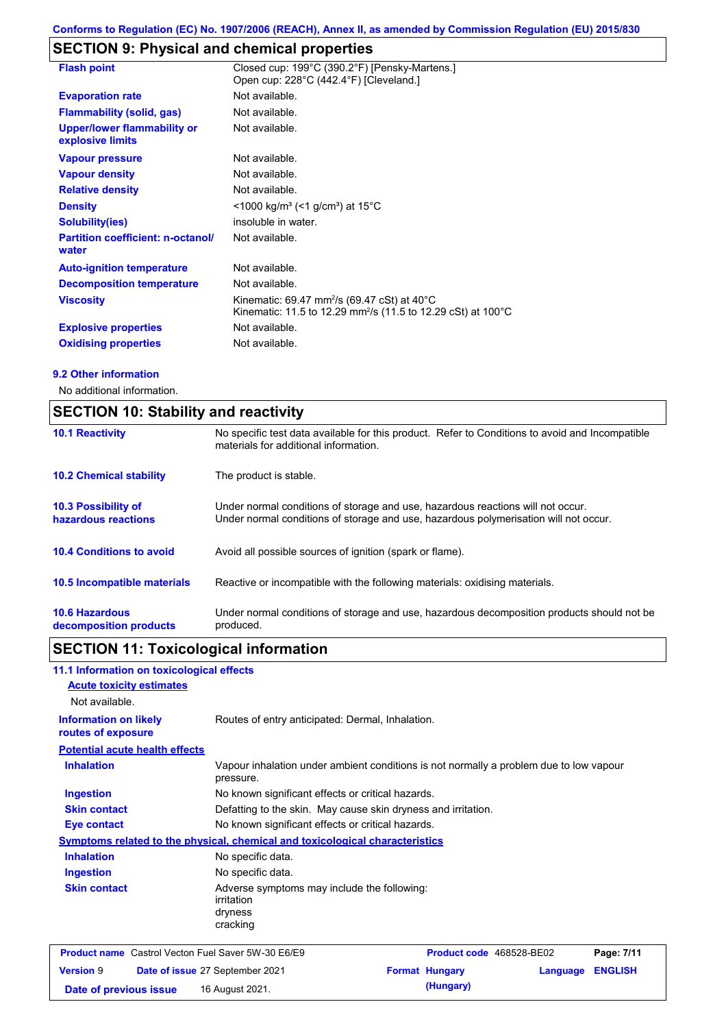# **SECTION 9: Physical and chemical properties**

| <b>Flash point</b>                                     | Closed cup: 199°C (390.2°F) [Pensky-Martens.]<br>Open cup: 228°C (442.4°F) [Cleveland.]                                                                     |
|--------------------------------------------------------|-------------------------------------------------------------------------------------------------------------------------------------------------------------|
| <b>Evaporation rate</b>                                | Not available.                                                                                                                                              |
| <b>Flammability (solid, gas)</b>                       | Not available.                                                                                                                                              |
| <b>Upper/lower flammability or</b><br>explosive limits | Not available.                                                                                                                                              |
| <b>Vapour pressure</b>                                 | Not available.                                                                                                                                              |
| <b>Vapour density</b>                                  | Not available.                                                                                                                                              |
| <b>Relative density</b>                                | Not available.                                                                                                                                              |
| <b>Density</b>                                         | <1000 kg/m <sup>3</sup> (<1 g/cm <sup>3</sup> ) at 15 <sup>°</sup> C                                                                                        |
| Solubility(ies)                                        | insoluble in water.                                                                                                                                         |
| <b>Partition coefficient: n-octanol/</b><br>water      | Not available.                                                                                                                                              |
| <b>Auto-ignition temperature</b>                       | Not available.                                                                                                                                              |
| <b>Decomposition temperature</b>                       | Not available.                                                                                                                                              |
| <b>Viscosity</b>                                       | Kinematic: 69.47 mm <sup>2</sup> /s (69.47 cSt) at 40 $^{\circ}$ C<br>Kinematic: 11.5 to 12.29 mm <sup>2</sup> /s (11.5 to 12.29 cSt) at 100 <sup>°</sup> C |
| <b>Explosive properties</b>                            | Not available.                                                                                                                                              |
| <b>Oxidising properties</b>                            | Not available.                                                                                                                                              |

### **9.2 Other information**

No additional information.

| <b>SECTION 10: Stability and reactivity</b>     |                                                                                                                                                                         |  |  |
|-------------------------------------------------|-------------------------------------------------------------------------------------------------------------------------------------------------------------------------|--|--|
| <b>10.1 Reactivity</b>                          | No specific test data available for this product. Refer to Conditions to avoid and Incompatible<br>materials for additional information.                                |  |  |
| <b>10.2 Chemical stability</b>                  | The product is stable.                                                                                                                                                  |  |  |
| 10.3 Possibility of<br>hazardous reactions      | Under normal conditions of storage and use, hazardous reactions will not occur.<br>Under normal conditions of storage and use, hazardous polymerisation will not occur. |  |  |
| <b>10.4 Conditions to avoid</b>                 | Avoid all possible sources of ignition (spark or flame).                                                                                                                |  |  |
| 10.5 Incompatible materials                     | Reactive or incompatible with the following materials: oxidising materials.                                                                                             |  |  |
| <b>10.6 Hazardous</b><br>decomposition products | Under normal conditions of storage and use, hazardous decomposition products should not be<br>produced.                                                                 |  |  |

# **SECTION 11: Toxicological information**

| 11.1 Information on toxicological effects                 |                                                                                                     |  |                          |          |                |
|-----------------------------------------------------------|-----------------------------------------------------------------------------------------------------|--|--------------------------|----------|----------------|
| <b>Acute toxicity estimates</b>                           |                                                                                                     |  |                          |          |                |
| Not available.                                            |                                                                                                     |  |                          |          |                |
| <b>Information on likely</b><br>routes of exposure        | Routes of entry anticipated: Dermal, Inhalation.                                                    |  |                          |          |                |
| <b>Potential acute health effects</b>                     |                                                                                                     |  |                          |          |                |
| <b>Inhalation</b>                                         | Vapour inhalation under ambient conditions is not normally a problem due to low vapour<br>pressure. |  |                          |          |                |
| <b>Ingestion</b>                                          | No known significant effects or critical hazards.                                                   |  |                          |          |                |
| <b>Skin contact</b>                                       | Defatting to the skin. May cause skin dryness and irritation.                                       |  |                          |          |                |
| <b>Eye contact</b>                                        | No known significant effects or critical hazards.                                                   |  |                          |          |                |
|                                                           | <b>Symptoms related to the physical, chemical and toxicological characteristics</b>                 |  |                          |          |                |
| <b>Inhalation</b>                                         | No specific data.                                                                                   |  |                          |          |                |
| No specific data.<br><b>Ingestion</b>                     |                                                                                                     |  |                          |          |                |
| <b>Skin contact</b>                                       | Adverse symptoms may include the following:<br>irritation<br>dryness<br>cracking                    |  |                          |          |                |
| <b>Product name</b> Castrol Vecton Fuel Saver 5W-30 E6/E9 |                                                                                                     |  | Product code 468528-BE02 |          | Page: 7/11     |
| <b>Version 9</b>                                          | Date of issue 27 September 2021                                                                     |  | <b>Format Hungary</b>    | Language | <b>ENGLISH</b> |
| Date of previous issue                                    | 16 August 2021.                                                                                     |  | (Hungary)                |          |                |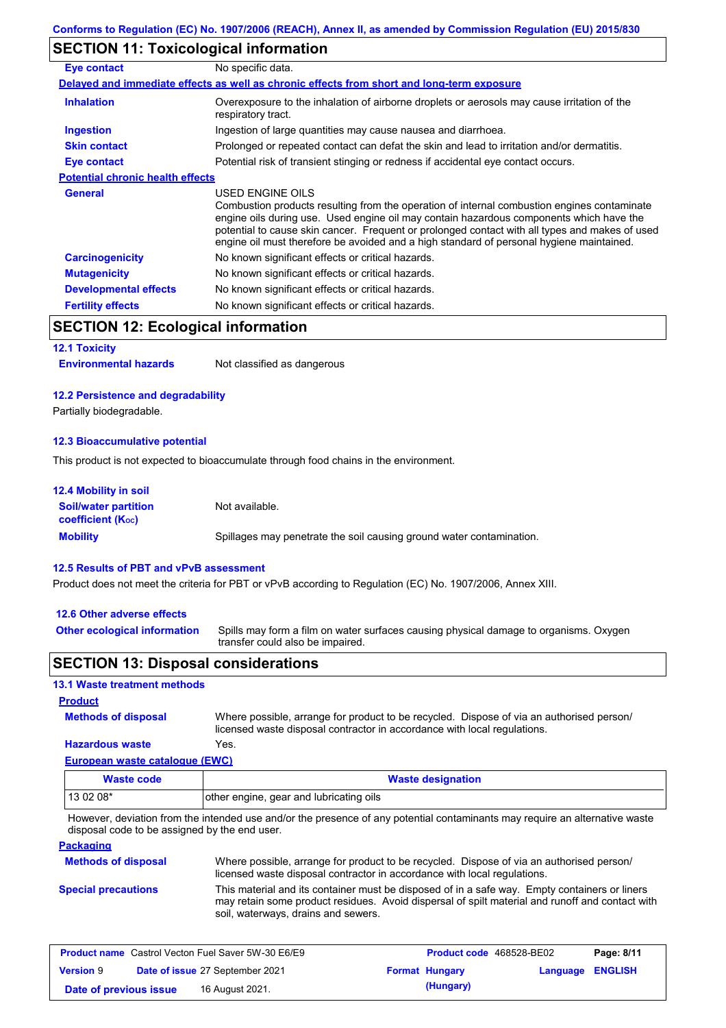# **SECTION 11: Toxicological information**

| Eye contact                             | No specific data.                                                                                                                                                                                                                                                                                                                                                                                        |
|-----------------------------------------|----------------------------------------------------------------------------------------------------------------------------------------------------------------------------------------------------------------------------------------------------------------------------------------------------------------------------------------------------------------------------------------------------------|
|                                         | Delayed and immediate effects as well as chronic effects from short and long-term exposure                                                                                                                                                                                                                                                                                                               |
| <b>Inhalation</b>                       | Overexposure to the inhalation of airborne droplets or aerosols may cause irritation of the<br>respiratory tract.                                                                                                                                                                                                                                                                                        |
| <b>Ingestion</b>                        | Ingestion of large quantities may cause nausea and diarrhoea.                                                                                                                                                                                                                                                                                                                                            |
| <b>Skin contact</b>                     | Prolonged or repeated contact can defat the skin and lead to irritation and/or dermatitis.                                                                                                                                                                                                                                                                                                               |
| Eye contact                             | Potential risk of transient stinging or redness if accidental eye contact occurs.                                                                                                                                                                                                                                                                                                                        |
| <b>Potential chronic health effects</b> |                                                                                                                                                                                                                                                                                                                                                                                                          |
| <b>General</b>                          | USED ENGINE OILS<br>Combustion products resulting from the operation of internal combustion engines contaminate<br>engine oils during use. Used engine oil may contain hazardous components which have the<br>potential to cause skin cancer. Frequent or prolonged contact with all types and makes of used<br>engine oil must therefore be avoided and a high standard of personal hygiene maintained. |
| <b>Carcinogenicity</b>                  | No known significant effects or critical hazards.                                                                                                                                                                                                                                                                                                                                                        |
| <b>Mutagenicity</b>                     | No known significant effects or critical hazards.                                                                                                                                                                                                                                                                                                                                                        |
| <b>Developmental effects</b>            | No known significant effects or critical hazards.                                                                                                                                                                                                                                                                                                                                                        |
| <b>Fertility effects</b>                | No known significant effects or critical hazards.                                                                                                                                                                                                                                                                                                                                                        |

# **SECTION 12: Ecological information**

#### **12.1 Toxicity**

### **12.2 Persistence and degradability**

Partially biodegradable.

### **12.3 Bioaccumulative potential**

This product is not expected to bioaccumulate through food chains in the environment.

| <b>12.4 Mobility in soil</b>                                  |                                                                      |
|---------------------------------------------------------------|----------------------------------------------------------------------|
| <b>Soil/water partition</b><br>coefficient (K <sub>oc</sub> ) | Not available.                                                       |
| <b>Mobility</b>                                               | Spillages may penetrate the soil causing ground water contamination. |

#### **12.5 Results of PBT and vPvB assessment**

Product does not meet the criteria for PBT or vPvB according to Regulation (EC) No. 1907/2006, Annex XIII.

#### **12.6 Other adverse effects**

**Other ecological information**

**Methods of disposal**

Spills may form a film on water surfaces causing physical damage to organisms. Oxygen transfer could also be impaired.

### **SECTION 13: Disposal considerations**

### **13.1 Waste treatment methods**

```
Product
```
**Hazardous waste** Yes. Where possible, arrange for product to be recycled. Dispose of via an authorised person/ licensed waste disposal contractor in accordance with local regulations.

### **European waste catalogue (EWC)**

| Waste code | <b>Waste designation</b>                |  |  |
|------------|-----------------------------------------|--|--|
| 13 02 08*  | other engine, gear and lubricating oils |  |  |

However, deviation from the intended use and/or the presence of any potential contaminants may require an alternative waste disposal code to be assigned by the end user.

### **Packaging**

| <b>Methods of disposal</b> | Where possible, arrange for product to be recycled. Dispose of via an authorised person/<br>licensed waste disposal contractor in accordance with local regulations.                                                                    |
|----------------------------|-----------------------------------------------------------------------------------------------------------------------------------------------------------------------------------------------------------------------------------------|
| <b>Special precautions</b> | This material and its container must be disposed of in a safe way. Empty containers or liners<br>may retain some product residues. Avoid dispersal of spilt material and runoff and contact with<br>soil, waterways, drains and sewers. |

| <b>Product name</b> Castrol Vecton Fuel Saver 5W-30 E6/E9 |  |                                 | <b>Product code</b> 468528-BE02 | Page: 8/11            |                         |  |
|-----------------------------------------------------------|--|---------------------------------|---------------------------------|-----------------------|-------------------------|--|
| <b>Version 9</b>                                          |  | Date of issue 27 September 2021 |                                 | <b>Format Hungary</b> | <b>Language ENGLISH</b> |  |
| Date of previous issue                                    |  | 16 August 2021.                 |                                 | (Hungary)             |                         |  |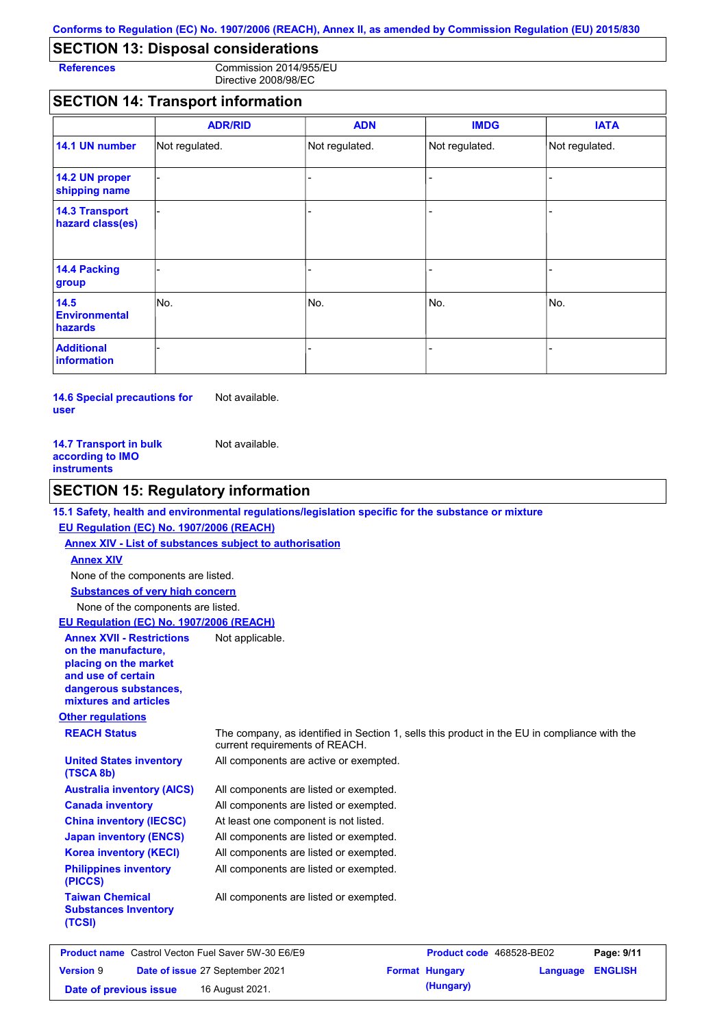### **SECTION 13: Disposal considerations**

**References** Commission 2014/955/EU Directive 2008/98/EC

### **SECTION 14: Transport information**

|                                           | <b>ADR/RID</b> | <b>ADN</b>     | <b>IMDG</b>    | <b>IATA</b>    |
|-------------------------------------------|----------------|----------------|----------------|----------------|
| 14.1 UN number                            | Not regulated. | Not regulated. | Not regulated. | Not regulated. |
| 14.2 UN proper<br>shipping name           |                |                |                |                |
| <b>14.3 Transport</b><br>hazard class(es) |                |                | $\overline{a}$ |                |
| 14.4 Packing<br>group                     |                |                | -              |                |
| 14.5<br><b>Environmental</b><br>hazards   | No.            | No.            | No.            | No.            |
| <b>Additional</b><br>information          |                |                |                |                |

**14.6 Special precautions for user** Not available.

| Not available. |
|----------------|
|                |
|                |
|                |

### **SECTION 15: Regulatory information**

### **15.1 Safety, health and environmental regulations/legislation specific for the substance or mixture**

### **EU Regulation (EC) No. 1907/2006 (REACH)**

**Annex XIV - List of substances subject to authorisation Substances of very high concern** None of the components are listed. None of the components are listed. **Annex XIV EU Regulation (EC) No. 1907/2006 (REACH)** Not applicable.

**Annex XVII - Restrictions on the manufacture, placing on the market and use of certain dangerous substances, mixtures and articles**

**Other regulations**

**Taiwan Chemical Substances Inventory** 

**(TSCA 8b)**

**(TCSI)**

**REACH Status** The company, as identified in Section 1, sells this product in the EU in compliance with the current requirements of REACH.

All components are active or exempted. **United States inventory** 

| <b>Australia inventory (AICS)</b>       | All components are listed or exempted. |
|-----------------------------------------|----------------------------------------|
| <b>Canada inventory</b>                 | All components are listed or exempted. |
| <b>China inventory (IECSC)</b>          | At least one component is not listed.  |
| <b>Japan inventory (ENCS)</b>           | All components are listed or exempted. |
| <b>Korea inventory (KECI)</b>           | All components are listed or exempted. |
| <b>Philippines inventory</b><br>(PICCS) | All components are listed or exempted. |

All components are listed or exempted.

|                        | <b>Product name</b> Castrol Vecton Fuel Saver 5W-30 E6/E9 | <b>Product code</b> 468528-BE02 |          | Page: 9/11     |
|------------------------|-----------------------------------------------------------|---------------------------------|----------|----------------|
| <b>Version 9</b>       | Date of issue 27 September 2021                           | <b>Format Hungary</b>           | Language | <b>ENGLISH</b> |
| Date of previous issue | 16 August 2021.                                           | (Hungary)                       |          |                |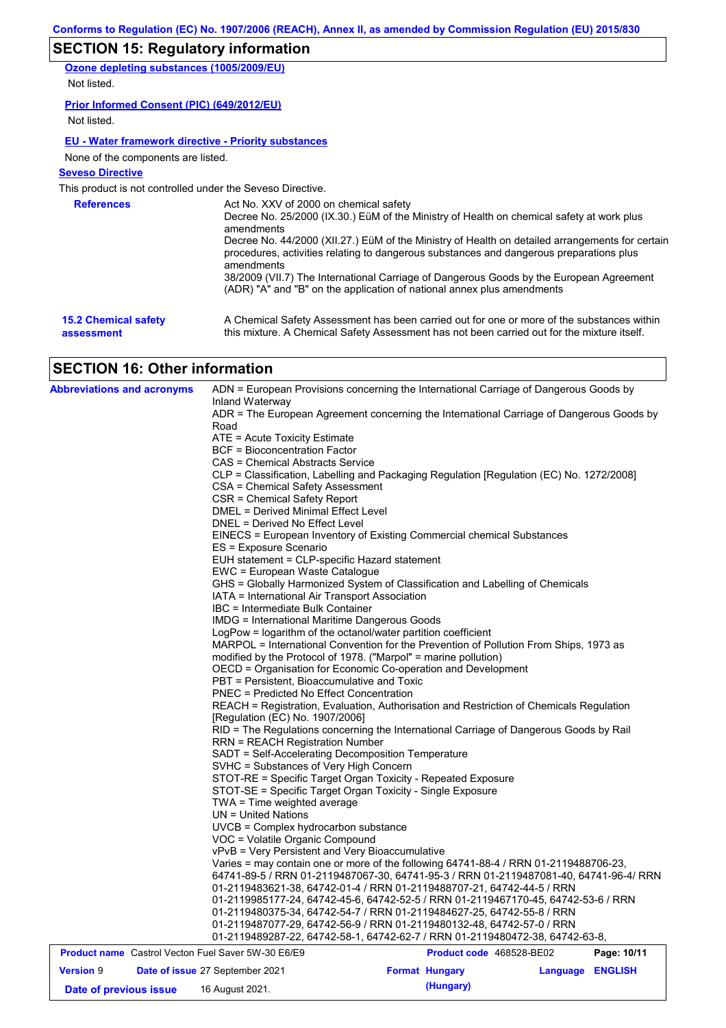# **SECTION 15: Regulatory information**

**Ozone depleting substances (1005/2009/EU)**

Not listed.

### **Prior Informed Consent (PIC) (649/2012/EU)**

Not listed.

### **EU - Water framework directive - Priority substances**

None of the components are listed.

### **Seveso Directive**

This product is not controlled under the Seveso Directive.

| <b>References</b>           | Act No. XXV of 2000 on chemical safety<br>Decree No. 25/2000 (IX.30.) EüM of the Ministry of Health on chemical safety at work plus<br>amendments<br>Decree No. 44/2000 (XII.27.) EüM of the Ministry of Health on detailed arrangements for certain<br>procedures, activities relating to dangerous substances and dangerous preparations plus<br>amendments<br>38/2009 (VII.7) The International Carriage of Dangerous Goods by the European Agreement<br>(ADR) "A" and "B" on the application of national annex plus amendments |
|-----------------------------|------------------------------------------------------------------------------------------------------------------------------------------------------------------------------------------------------------------------------------------------------------------------------------------------------------------------------------------------------------------------------------------------------------------------------------------------------------------------------------------------------------------------------------|
| <b>15.2 Chemical safety</b> | A Chemical Safety Assessment has been carried out for one or more of the substances within                                                                                                                                                                                                                                                                                                                                                                                                                                         |
| assessment                  | this mixture. A Chemical Safety Assessment has not been carried out for the mixture itself.                                                                                                                                                                                                                                                                                                                                                                                                                                        |

# **SECTION 16: Other information**

| <b>Abbreviations and acronyms</b>                         | Inland Waterway                                                                                                                                                                                                                                                                                                                                    | ADN = European Provisions concerning the International Carriage of Dangerous Goods by    |                  |             |  |  |  |  |
|-----------------------------------------------------------|----------------------------------------------------------------------------------------------------------------------------------------------------------------------------------------------------------------------------------------------------------------------------------------------------------------------------------------------------|------------------------------------------------------------------------------------------|------------------|-------------|--|--|--|--|
|                                                           | Road                                                                                                                                                                                                                                                                                                                                               | ADR = The European Agreement concerning the International Carriage of Dangerous Goods by |                  |             |  |  |  |  |
|                                                           | ATE = Acute Toxicity Estimate                                                                                                                                                                                                                                                                                                                      |                                                                                          |                  |             |  |  |  |  |
|                                                           | BCF = Bioconcentration Factor                                                                                                                                                                                                                                                                                                                      |                                                                                          |                  |             |  |  |  |  |
|                                                           | CAS = Chemical Abstracts Service                                                                                                                                                                                                                                                                                                                   |                                                                                          |                  |             |  |  |  |  |
|                                                           |                                                                                                                                                                                                                                                                                                                                                    | CLP = Classification, Labelling and Packaging Regulation [Regulation (EC) No. 1272/2008] |                  |             |  |  |  |  |
|                                                           | CSA = Chemical Safety Assessment                                                                                                                                                                                                                                                                                                                   |                                                                                          |                  |             |  |  |  |  |
|                                                           | CSR = Chemical Safety Report                                                                                                                                                                                                                                                                                                                       |                                                                                          |                  |             |  |  |  |  |
|                                                           | DMEL = Derived Minimal Effect Level                                                                                                                                                                                                                                                                                                                |                                                                                          |                  |             |  |  |  |  |
|                                                           | DNEL = Derived No Effect Level                                                                                                                                                                                                                                                                                                                     |                                                                                          |                  |             |  |  |  |  |
|                                                           |                                                                                                                                                                                                                                                                                                                                                    | EINECS = European Inventory of Existing Commercial chemical Substances                   |                  |             |  |  |  |  |
|                                                           | ES = Exposure Scenario<br>EUH statement = CLP-specific Hazard statement                                                                                                                                                                                                                                                                            |                                                                                          |                  |             |  |  |  |  |
|                                                           | EWC = European Waste Catalogue                                                                                                                                                                                                                                                                                                                     |                                                                                          |                  |             |  |  |  |  |
|                                                           |                                                                                                                                                                                                                                                                                                                                                    | GHS = Globally Harmonized System of Classification and Labelling of Chemicals            |                  |             |  |  |  |  |
|                                                           | IATA = International Air Transport Association                                                                                                                                                                                                                                                                                                     |                                                                                          |                  |             |  |  |  |  |
|                                                           | IBC = Intermediate Bulk Container                                                                                                                                                                                                                                                                                                                  |                                                                                          |                  |             |  |  |  |  |
|                                                           | <b>IMDG</b> = International Maritime Dangerous Goods                                                                                                                                                                                                                                                                                               |                                                                                          |                  |             |  |  |  |  |
|                                                           |                                                                                                                                                                                                                                                                                                                                                    | LogPow = logarithm of the octanol/water partition coefficient                            |                  |             |  |  |  |  |
|                                                           |                                                                                                                                                                                                                                                                                                                                                    | MARPOL = International Convention for the Prevention of Pollution From Ships, 1973 as    |                  |             |  |  |  |  |
|                                                           |                                                                                                                                                                                                                                                                                                                                                    | modified by the Protocol of 1978. ("Marpol" = marine pollution)                          |                  |             |  |  |  |  |
|                                                           |                                                                                                                                                                                                                                                                                                                                                    | OECD = Organisation for Economic Co-operation and Development                            |                  |             |  |  |  |  |
|                                                           | PBT = Persistent, Bioaccumulative and Toxic<br>PNEC = Predicted No Effect Concentration<br>REACH = Registration, Evaluation, Authorisation and Restriction of Chemicals Regulation<br>[Regulation (EC) No. 1907/2006]<br>RID = The Regulations concerning the International Carriage of Dangerous Goods by Rail<br>RRN = REACH Registration Number |                                                                                          |                  |             |  |  |  |  |
|                                                           |                                                                                                                                                                                                                                                                                                                                                    |                                                                                          |                  |             |  |  |  |  |
|                                                           |                                                                                                                                                                                                                                                                                                                                                    |                                                                                          |                  |             |  |  |  |  |
|                                                           |                                                                                                                                                                                                                                                                                                                                                    |                                                                                          |                  |             |  |  |  |  |
|                                                           |                                                                                                                                                                                                                                                                                                                                                    |                                                                                          |                  |             |  |  |  |  |
|                                                           | SADT = Self-Accelerating Decomposition Temperature                                                                                                                                                                                                                                                                                                 |                                                                                          |                  |             |  |  |  |  |
|                                                           | SVHC = Substances of Very High Concern                                                                                                                                                                                                                                                                                                             |                                                                                          |                  |             |  |  |  |  |
|                                                           |                                                                                                                                                                                                                                                                                                                                                    | STOT-RE = Specific Target Organ Toxicity - Repeated Exposure                             |                  |             |  |  |  |  |
|                                                           |                                                                                                                                                                                                                                                                                                                                                    | STOT-SE = Specific Target Organ Toxicity - Single Exposure                               |                  |             |  |  |  |  |
|                                                           | TWA = Time weighted average                                                                                                                                                                                                                                                                                                                        |                                                                                          |                  |             |  |  |  |  |
|                                                           | $UN = United Nations$                                                                                                                                                                                                                                                                                                                              |                                                                                          |                  |             |  |  |  |  |
|                                                           | UVCB = Complex hydrocarbon substance                                                                                                                                                                                                                                                                                                               |                                                                                          |                  |             |  |  |  |  |
|                                                           | VOC = Volatile Organic Compound<br>vPvB = Very Persistent and Very Bioaccumulative                                                                                                                                                                                                                                                                 |                                                                                          |                  |             |  |  |  |  |
|                                                           |                                                                                                                                                                                                                                                                                                                                                    | Varies = may contain one or more of the following 64741-88-4 / RRN 01-2119488706-23,     |                  |             |  |  |  |  |
|                                                           |                                                                                                                                                                                                                                                                                                                                                    | 64741-89-5 / RRN 01-2119487067-30, 64741-95-3 / RRN 01-2119487081-40, 64741-96-4/ RRN    |                  |             |  |  |  |  |
|                                                           |                                                                                                                                                                                                                                                                                                                                                    | 01-2119483621-38, 64742-01-4 / RRN 01-2119488707-21, 64742-44-5 / RRN                    |                  |             |  |  |  |  |
|                                                           |                                                                                                                                                                                                                                                                                                                                                    | 01-2119985177-24, 64742-45-6, 64742-52-5 / RRN 01-2119467170-45, 64742-53-6 / RRN        |                  |             |  |  |  |  |
|                                                           |                                                                                                                                                                                                                                                                                                                                                    | 01-2119480375-34, 64742-54-7 / RRN 01-2119484627-25, 64742-55-8 / RRN                    |                  |             |  |  |  |  |
|                                                           |                                                                                                                                                                                                                                                                                                                                                    | 01-2119487077-29, 64742-56-9 / RRN 01-2119480132-48, 64742-57-0 / RRN                    |                  |             |  |  |  |  |
|                                                           |                                                                                                                                                                                                                                                                                                                                                    | 01-2119489287-22, 64742-58-1, 64742-62-7 / RRN 01-2119480472-38, 64742-63-8,             |                  |             |  |  |  |  |
| <b>Product name</b> Castrol Vecton Fuel Saver 5W-30 E6/E9 |                                                                                                                                                                                                                                                                                                                                                    | Product code 468528-BE02                                                                 |                  | Page: 10/11 |  |  |  |  |
| <b>Version 9</b>                                          | Date of issue 27 September 2021                                                                                                                                                                                                                                                                                                                    | <b>Format Hungary</b>                                                                    | Language ENGLISH |             |  |  |  |  |
| Date of previous issue                                    | 16 August 2021.                                                                                                                                                                                                                                                                                                                                    | (Hungary)                                                                                |                  |             |  |  |  |  |